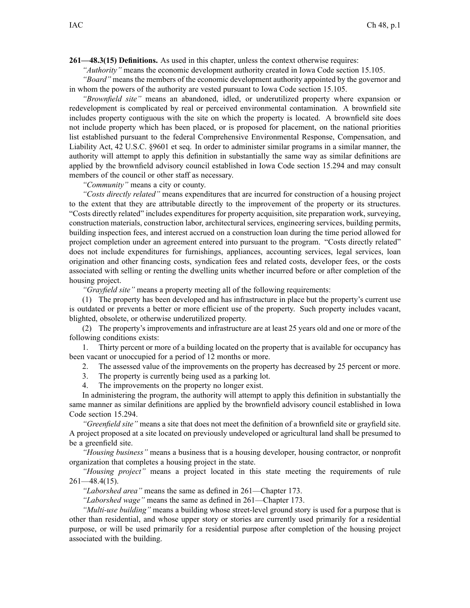**261—48.3(15) Definitions.** As used in this chapter, unless the context otherwise requires:

*"Authority"* means the economic development authority created in Iowa Code section [15.105](https://www.legis.iowa.gov/docs/ico/section/15.105.pdf).

*"Board"* means the members of the economic development authority appointed by the governor and in whom the powers of the authority are vested pursuan<sup>t</sup> to Iowa Code section [15.105](https://www.legis.iowa.gov/docs/ico/section/15.105.pdf).

*"Brownfield site"* means an abandoned, idled, or underutilized property where expansion or redevelopment is complicated by real or perceived environmental contamination. A brownfield site includes property contiguous with the site on which the property is located. A brownfield site does not include property which has been placed, or is proposed for placement, on the national priorities list established pursuan<sup>t</sup> to the federal Comprehensive Environmental Response, Compensation, and Liability Act, 42 U.S.C. §9601 et seq. In order to administer similar programs in <sup>a</sup> similar manner, the authority will attempt to apply this definition in substantially the same way as similar definitions are applied by the brownfield advisory council established in Iowa Code section [15.294](https://www.legis.iowa.gov/docs/ico/section/15.294.pdf) and may consult members of the council or other staff as necessary.

*"Community"* means <sup>a</sup> city or county.

*"Costs directly related"* means expenditures that are incurred for construction of <sup>a</sup> housing project to the extent that they are attributable directly to the improvement of the property or its structures. "Costs directly related" includes expenditures for property acquisition, site preparation work, surveying, construction materials, construction labor, architectural services, engineering services, building permits, building inspection fees, and interest accrued on <sup>a</sup> construction loan during the time period allowed for project completion under an agreemen<sup>t</sup> entered into pursuan<sup>t</sup> to the program. "Costs directly related" does not include expenditures for furnishings, appliances, accounting services, legal services, loan origination and other financing costs, syndication fees and related costs, developer fees, or the costs associated with selling or renting the dwelling units whether incurred before or after completion of the housing project.

*"Grayfield site"* means <sup>a</sup> property meeting all of the following requirements:

(1) The property has been developed and has infrastructure in place but the property's current use is outdated or prevents <sup>a</sup> better or more efficient use of the property. Such property includes vacant, blighted, obsolete, or otherwise underutilized property.

(2) The property's improvements and infrastructure are at least 25 years old and one or more of the following conditions exists:

1. Thirty percen<sup>t</sup> or more of <sup>a</sup> building located on the property that is available for occupancy has been vacant or unoccupied for <sup>a</sup> period of 12 months or more.

- 2. The assessed value of the improvements on the property has decreased by 25 percen<sup>t</sup> or more.
- 3. The property is currently being used as <sup>a</sup> parking lot.
- 4. The improvements on the property no longer exist.

In administering the program, the authority will attempt to apply this definition in substantially the same manner as similar definitions are applied by the brownfield advisory council established in Iowa Code section [15.294](https://www.legis.iowa.gov/docs/ico/section/15.294.pdf).

*"Greenfield site"* means <sup>a</sup> site that does not meet the definition of <sup>a</sup> brownfield site or grayfield site. A project proposed at <sup>a</sup> site located on previously undeveloped or agricultural land shall be presumed to be <sup>a</sup> greenfield site.

*"Housing business"* means <sup>a</sup> business that is <sup>a</sup> housing developer, housing contractor, or nonprofit organization that completes <sup>a</sup> housing project in the state.

*"Housing project"* means <sup>a</sup> project located in this state meeting the requirements of rule  $261 - 48.4(15)$ .

*"Laborshed area"* means the same as defined in [261—Chapter](https://www.legis.iowa.gov/docs/iac/chapter/261.173.pdf) 173.

*"Laborshed wage"* means the same as defined in [261—Chapter](https://www.legis.iowa.gov/docs/iac/chapter/261.173.pdf) 173.

*"Multi-use building"* means <sup>a</sup> building whose street-level ground story is used for <sup>a</sup> purpose that is other than residential, and whose upper story or stories are currently used primarily for <sup>a</sup> residential purpose, or will be used primarily for <sup>a</sup> residential purpose after completion of the housing project associated with the building.